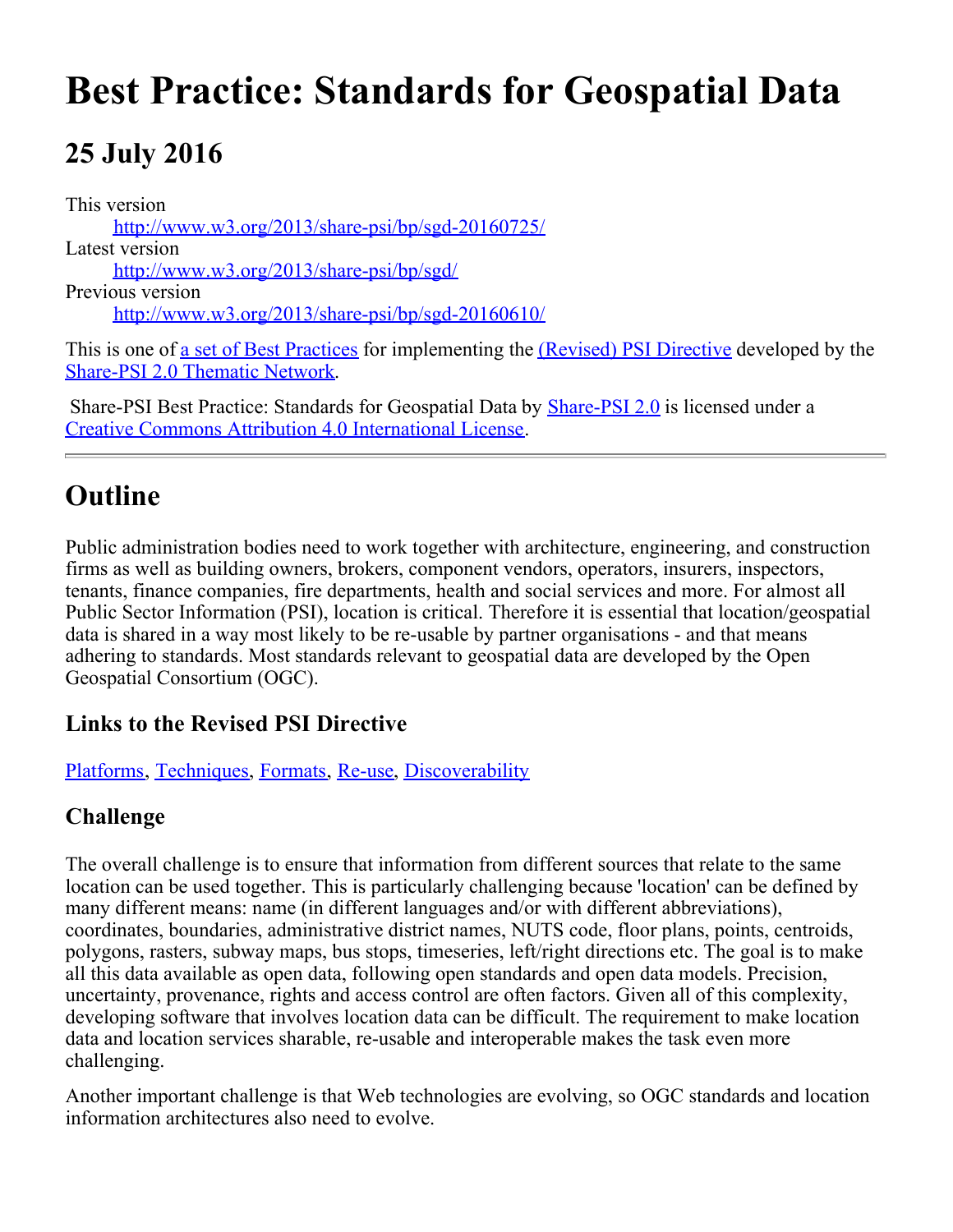# **Best Practice: Standards for Geospatial Data**

## **25 July 2016**

This version [http://www.w3.org/2013/share-psi/bp/sgd-20160725/](https://www.w3.org/2013/share-psi/bp/sgd-20160725/) Latest version [http://www.w3.org/2013/share-psi/bp/sgd/](https://www.w3.org/2013/share-psi/bp/sgd/) Previous version [http://www.w3.org/2013/share-psi/bp/sgd-20160610/](https://www.w3.org/2013/share-psi/bp/sgd-20160610/)

This is one of <u>a set of Best Practices</u> for implementing the *(Revised)* PSI Directive developed by the [Share-PSI 2.0 Thematic Network](http://www.w3.org/2013/share-psi/).

Share-PSI Best Practice: Standards for Geospatial Data by **[Share-PSI 2.0](http://www.w3.org/2013/share-psi/)** is licensed under a [Creative Commons Attribution 4.0 International License](http://creativecommons.org/licenses/by/4.0/).

## **Outline**

Public administration bodies need to work together with architecture, engineering, and construction firms as well as building owners, brokers, component vendors, operators, insurers, inspectors, tenants, finance companies, fire departments, health and social services and more. For almost all Public Sector Information (PSI), location is critical. Therefore it is essential that location/geospatial data is shared in a way most likely to be re-usable by partner organisations - and that means adhering to standards. Most standards relevant to geospatial data are developed by the Open Geospatial Consortium (OGC).

#### **Links to the Revised PSI Directive**

[Platforms](https://www.w3.org/2013/share-psi/bp/platforms/), [Techniques](https://www.w3.org/2013/share-psi/bp/techniques/), [Formats](https://www.w3.org/2013/share-psi/bp/formats/), [Re-use](https://www.w3.org/2013/share-psi/bp/reuse/), [Discoverability](https://www.w3.org/2013/share-psi/bp/discoverability/)

#### **Challenge**

The overall challenge is to ensure that information from different sources that relate to the same location can be used together. This is particularly challenging because 'location' can be defined by many different means: name (in different languages and/or with different abbreviations), coordinates, boundaries, administrative district names, NUTS code, floor plans, points, centroids, polygons, rasters, subway maps, bus stops, timeseries, left/right directions etc. The goal is to make all this data available as open data, following open standards and open data models. Precision, uncertainty, provenance, rights and access control are often factors. Given all of this complexity, developing software that involves location data can be difficult. The requirement to make location data and location services sharable, re-usable and interoperable makes the task even more challenging.

Another important challenge is that Web technologies are evolving, so OGC standards and location information architectures also need to evolve.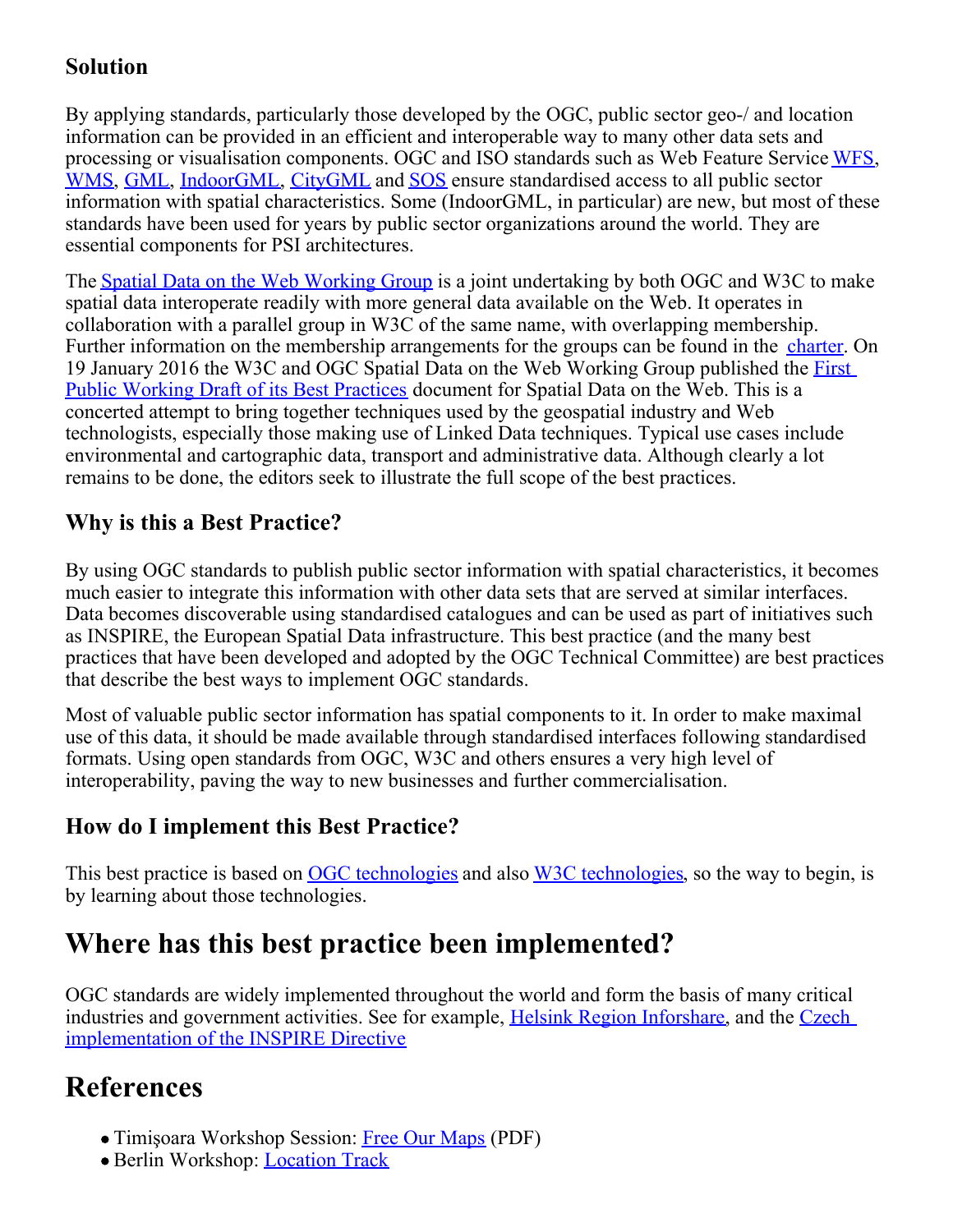#### **Solution**

By applying standards, particularly those developed by the OGC, public sector geo-/ and location information can be provided in an efficient and interoperable way to many other data sets and processing or visualisation components. OGC and ISO standards such as Web Feature Service [WFS](http://docs.opengeospatial.org/is/09-025r2/09-025r2.html), [WMS](http://portal.opengeospatial.org/files/?artifact_id=14416), [GML](http://portal.opengeospatial.org/files/?artifact_id=20509), [IndoorGML](http://docs.opengeospatial.org/is/14-005r3/14-005r3.html), [CityGML](https://portal.opengeospatial.org/files/?artifact_id=47842) and [SOS](https://portal.opengeospatial.org/files/?artifact_id=47599) ensure standardised access to all public sector information with spatial characteristics. Some (IndoorGML, in particular) are new, but most of these standards have been used for years by public sector organizations around the world. They are essential components for PSI architectures.

The [Spatial Data on the Web Working Group](https://www.w3.org/2015/spatial/) is a joint undertaking by both OGC and W3C to make spatial data interoperate readily with more general data available on the Web. It operates in collaboration with a parallel group in W3C of the same name, with overlapping membership. Further information on the membership arrangements for the groups can be found in the [charter](https://www.w3.org/2015/spatial/charter). On 19 January 2016 the W3C and OGC Spatial Data on the Web Working Group published the [First](https://www.w3.org/TR/2016/WD-sdw-bp-20160119/) [Public Working Draft of its Best Practices](https://www.w3.org/TR/2016/WD-sdw-bp-20160119/) document for Spatial Data on the Web. This is a concerted attempt to bring together techniques used by the geospatial industry and Web technologists, especially those making use of Linked Data techniques. Typical use cases include environmental and cartographic data, transport and administrative data. Although clearly a lot remains to be done, the editors seek to illustrate the full scope of the best practices.

#### **Why is this a Best Practice?**

By using OGC standards to publish public sector information with spatial characteristics, it becomes much easier to integrate this information with other data sets that are served at similar interfaces. Data becomes discoverable using standardised catalogues and can be used as part of initiatives such as INSPIRE, the European Spatial Data infrastructure. This best practice (and the many best practices that have been developed and adopted by the OGC Technical Committee) are best practices that describe the best ways to implement OGC standards.

Most of valuable public sector information has spatial components to it. In order to make maximal use of this data, it should be made available through standardised interfaces following standardised formats. Using open standards from OGC, W3C and others ensures a very high level of interoperability, paving the way to new businesses and further commercialisation.

#### **How do I implement this Best Practice?**

This best practice is based on [OGC technologies](http://www.opengeospatial.org/docs/is) and also [W3C technologies](https://www.w3.org/standards/), so the way to begin, is by learning about those technologies.

### **Where has this best practice been implemented?**

OGC standards are widely implemented throughout the world and form the basis of many critical industries and government activities. See for example, [Helsink Region Inforshare](http://www.hri.fi/fi/ajankohtaista/hrin-vuosi-2015-yhteistyota-ja-lisaa-paikkatietoavauksia/), and the [Czech](http://www.cuzk.cz/English/Land-Surveying/INSPIRE/INSPIRE-implementation-in-CUZK.aspx) [implementation of the INSPIRE Directive](http://www.cuzk.cz/English/Land-Surveying/INSPIRE/INSPIRE-implementation-in-CUZK.aspx)

## **References**

- Timişoara Workshop Session: [Free Our Maps](https://www.w3.org/2013/share-psi/wiki/images/b/b5/Abstract_free_our_maps.pdf) (PDF)
- **Berlin Workshop: [Location Track](https://www.w3.org/2013/share-psi/workshop/berlin/report#location)**